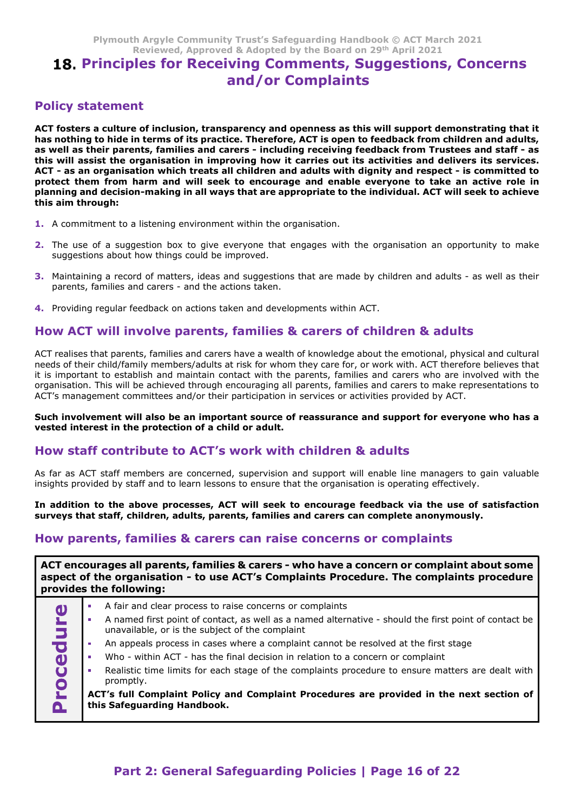# Plymouth Argyle Community Trust's Safeguarding Handbook © ACT March 2021<br>Reviewed, Approved & Adopted by the Board on 29<sup>th</sup> April 2021<br>**PRICIPIES for Receiving Comments, Suggestions, Concerns**<br>**and/or Complaints** Argyle Community Trust's Safeguarding Handbook © ACT March 2021<br>Reviewed, Approved & Adopted by the Board on 29<sup>th</sup> April 2021<br>**ILES for Receiving Comments, Suggestions, Concerns**<br>and/or Complaints 18. Principles for Receiving Comments, Suggestions, Concerns and/or Complaints

#### Policy statement

Plymouth Argyle Community Trust's Safeguarding Handbook © ACT March 2021<br>Reviewed, Approved & Adopted by the Board on 29<sup>th</sup> April 2021<br>**18. Principles for Receiving Comments, Suggestions, Concerns**<br>**Policy statement**<br>AcT Plymouth Argyle Community Trust's Safeguarding Handbook © ACT March 2021<br>
Reviewed, Approved & Adopted by the Board on 29<sup>th</sup> April 2021<br> **18. Principles for Receiving Comments, Suggestions, Concerns**<br>
Policy statement<br>
AC Plymouth Argyle Community Trust's Safeguarding Handbook © ACT March 2021<br>Reviewed, Approved & Adopted by the Board on 29<sup>th</sup> April 2021<br>**18. Principles for Receiving Comments, Suggestions, Concerns**<br>**and/or Complaints**<br>Pol this will assist the organisation in improving how it carries out its activities and delivers its services. Plymouth Argyle Community Trust's Safeguarding Handbook  $\otimes$  ACT March 2021<br>Reviewed, Approved & Adopted by the Board on 29<sup>th</sup> April 2021<br>**18. Principles for Receiving Comments, Suggestions, Concerns**<br>**Policy statement** protect them from harm and will seek to encourage and enable everyone to take an active role in Plymouth Argyle Community Trust's Safeguarding Handbook  $\otimes$  ACT March 2021<br>
Reviewed, Approved & Adopted by the Board on 29<sup>th</sup> April 2021<br> **18. Principles for Receiving Comments, Suggestions, Concerns**<br> **Policy stateme** Plymouth Argyle Community Trust's Safeguarding Handbook<br>
Reviewed, Approved & Adopted by the Board on 29<sup>th</sup><br> **18. Principles for Receiving Comments, Sugg<br>
and/or Complaints<br>
Policy statement<br>
Act fosters a culture of incl** Plymouth Argyle Community Trust's Safeguarding Handbook  $\otimes$  ACT March 2021<br> **18.** Principles for Receiving Comments, Suggestions, Concerns<br>
and/or Complaints<br>
Policy statement<br>
Policy statement<br>
ACT fostes a culture of Plymouth Argyle Community Trust's Safeguarding Handbook  $\otimes$  ACT March 2021<br>Reviewed, Approved & Adopted by the Board on 29<sup>th</sup> April 2021<br>**18. Principles for Receiving Comments, Suggestions, Conce**<br>and/or Complaints<br>lic **Example 18 and / Or Complaints**<br>ACT fosters a culture of inclusion, transparency and openness as this will support demonstrating that it<br>has nothing to hide in terms of its practice. Therefore, ACT is open to feedback fro **Policy statement**<br>ACT footers a culture of inclusion, transparency and openness as this will support demonstrating that it<br>as a well have been included and care and care and care and care and care and state and state<br>this Purch, their statement of the main of the main of the main of the main of the state of the state of the state of the state of the state of the state of the state of the state of the state of the state of the children and a

- 1. A commitment to a listening environment within the organisation.
- **2.** The use of a suggestion box to give everyone that engages with the organisation an opportunity to make suggestions about how things could be improved.
- 
- 4. Providing regular feedback on actions taken and developments within ACT.

it is important to establish and maintain contact with the parents, families and carers who are involved with the organisation. This will be achieved through encouraging all parents, families and carers to make representations to ACT's management committees and/or their participation in services or activities provided by ACT. between the staff contribute to a control of the organisation and support the organisation and poportunity to make<br>this aim through:<br>
1. A commitment to a listening environment within the organisation.<br>
2. The use of a sug 1. A commitment to a listening environment within the organisation.<br>
2. The use of a suggestion box to give everyone that engages with the organisation an opportunity to make<br>
suggestions about how things could be improved In suggestions about how things could be improved.<br>
In Maintaining a record of matters, ideas and suggestions that are made by children and adults - as well as their hand in parents, families and carers and the actions tak surveys that staff, children, adults, children, and the present of the station of the station of the stations are condom method. A providing reputation and developments within ACT.<br>A providing regular feedback on actions t parents, families and carers - and the actions taken.<br>4. Providing regular feedback on actions taken and developments within ACT.<br>HOW ACT will involve parents, families & carers of children & adults<br>acreatises that parents

#### Such involvement will also be an important source of reassurance and support for everyone who has a vested interest in the protection of a child or adult.

|             | How ACT will involve parents, families & carers of children & adults                                                                                                                                                                                                                                                                                                                                                                                                                                                                                                                          |
|-------------|-----------------------------------------------------------------------------------------------------------------------------------------------------------------------------------------------------------------------------------------------------------------------------------------------------------------------------------------------------------------------------------------------------------------------------------------------------------------------------------------------------------------------------------------------------------------------------------------------|
|             | ACT realises that parents, families and carers have a wealth of knowledge about the emotional, physical and cultural<br>needs of their child/family members/adults at risk for whom they care for, or work with. ACT therefore believes that<br>it is important to establish and maintain contact with the parents, families and carers who are involved with the<br>organisation. This will be achieved through encouraging all parents, families and carers to make representations to<br>ACT's management committees and/or their participation in services or activities provided by ACT. |
|             | Such involvement will also be an important source of reassurance and support for everyone who has a<br>vested interest in the protection of a child or adult.                                                                                                                                                                                                                                                                                                                                                                                                                                 |
|             | How staff contribute to ACT's work with children & adults                                                                                                                                                                                                                                                                                                                                                                                                                                                                                                                                     |
|             | As far as ACT staff members are concerned, supervision and support will enable line managers to gain valuable<br>insights provided by staff and to learn lessons to ensure that the organisation is operating effectively.                                                                                                                                                                                                                                                                                                                                                                    |
|             | In addition to the above processes, ACT will seek to encourage feedback via the use of satisfaction<br>surveys that staff, children, adults, parents, families and carers can complete anonymously.                                                                                                                                                                                                                                                                                                                                                                                           |
|             | How parents, families & carers can raise concerns or complaints                                                                                                                                                                                                                                                                                                                                                                                                                                                                                                                               |
|             | aspect of the organisation - to use ACT's Complaints Procedure. The complaints procedure                                                                                                                                                                                                                                                                                                                                                                                                                                                                                                      |
|             | ACT encourages all parents, families & carers - who have a concern or complaint about some<br>provides the following:                                                                                                                                                                                                                                                                                                                                                                                                                                                                         |
| $\mathbf 0$ | A fair and clear process to raise concerns or complaints<br>A named first point of contact, as well as a named alternative - should the first point of contact be<br>unavailable, or is the subject of the complaint                                                                                                                                                                                                                                                                                                                                                                          |
|             | An appeals process in cases where a complaint cannot be resolved at the first stage                                                                                                                                                                                                                                                                                                                                                                                                                                                                                                           |
|             | Who - within ACT - has the final decision in relation to a concern or complaint                                                                                                                                                                                                                                                                                                                                                                                                                                                                                                               |
| rocedu      | Realistic time limits for each stage of the complaints procedure to ensure matters are dealt with<br>promptly.                                                                                                                                                                                                                                                                                                                                                                                                                                                                                |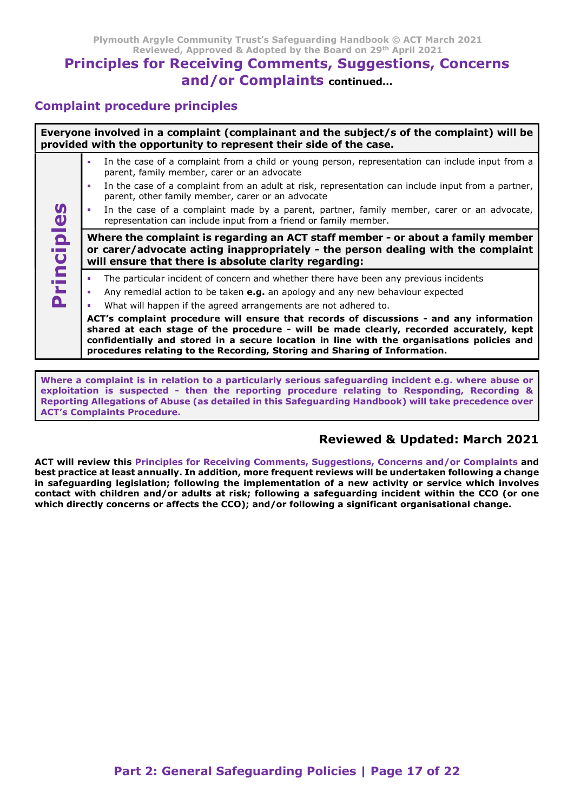# Principles for Receiving Comments, Suggestions, Concerns and/or Complaints continued…

#### Complaint procedure principles

Everyone involved in a complaint (complainant and the subject/s of the complaint) will be provided with the opportunity to represent their side of the case.

- In the case of a complaint from a child or young person, representation can include input from a parent, family member, carer or an advocate
	- In the case of a complaint from an adult at risk, representation can include input from a partner, parent, other family member, carer or an advocate
- In the case of a complaint made by a parent, partner, family member, carer or an advocate, representation can include input from a friend or family member.

In the case of a complaint made<br>
representation can include input fi<br> **Where the complaint is regardior carer/advocate acting inapp**<br>
will ensure that there is absolute<br>
The particular incident of concern<br>
Any remedial act Where the complaint is regarding an ACT staff member - or about a family member or carer/advocate acting inappropriately - the person dealing with the complaint will ensure that there is absolute clarity regarding:

- The particular incident of concern and whether there have been any previous incidents
- Any remedial action to be taken  $e.a.$  an apology and any new behaviour expected
- What will happen if the agreed arrangements are not adhered to.

ACT's complaint procedure will ensure that records of discussions - and any information shared at each stage of the procedure - will be made clearly, recorded accurately, kept confidentially and stored in a secure location in line with the organisations policies and procedures relating to the Recording, Storing and Sharing of Information.

Where a complaint is in relation to a particularly serious safeguarding incident e.g. where abuse or exploitation is suspected - then the reporting procedure relating to Responding, Recording & Reporting Allegations of Abuse (as detailed in this Safeguarding Handbook) will take precedence over ACT's Complaints Procedure.

## Reviewed & Updated: March 2021

ACT will review this Principles for Receiving Comments, Suggestions, Concerns and/or Complaints and best practice at least annually. In addition, more frequent reviews will be undertaken following a change in safeguarding legislation; following the implementation of a new activity or service which involves contact with children and/or adults at risk; following a safeguarding incident within the CCO (or one which directly concerns or affects the CCO); and/or following a significant organisational change.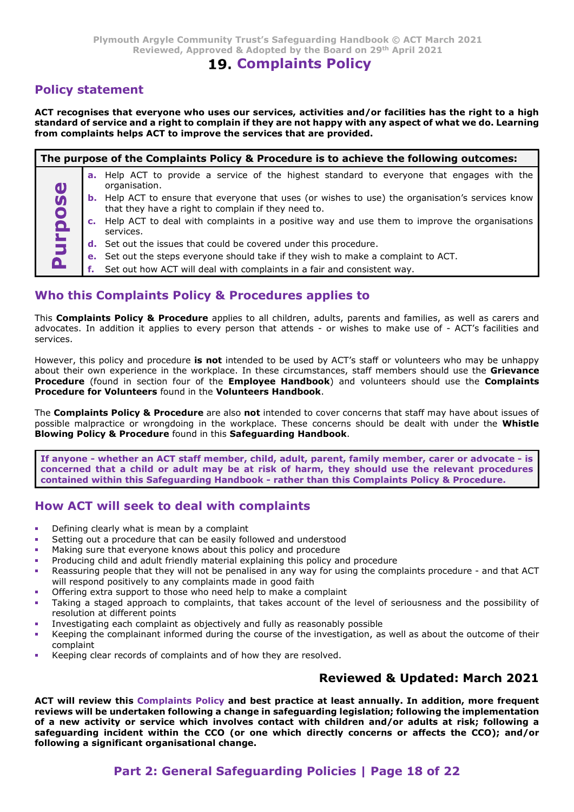## 19. Complaints Policy

#### Policy statement

Plymouth Argyle Community Trust's Safeguarding Handbook © ACT March 2021<br>Reviewed, Approved & Adopted by the Board on 29<sup>th</sup> April 2021<br>**19. Complaints Policy**<br>**Policy statement**<br>ACT recognises that everyone who uses our s standard of service and a right to complain if they are not happy with any aspect of what we do. Learning

| Plymouth Argyle Community Trust's Safeguarding Handbook © ACT March 2021<br>Reviewed, Approved & Adopted by the Board on 29th April 2021                                                                                                                                                                                                                                                          |
|---------------------------------------------------------------------------------------------------------------------------------------------------------------------------------------------------------------------------------------------------------------------------------------------------------------------------------------------------------------------------------------------------|
| <b>19. Complaints Policy</b>                                                                                                                                                                                                                                                                                                                                                                      |
| <b>Policy statement</b>                                                                                                                                                                                                                                                                                                                                                                           |
| ACT recognises that everyone who uses our services, activities and/or facilities has the right to a high<br>standard of service and a right to complain if they are not happy with any aspect of what we do. Learning<br>from complaints helps ACT to improve the services that are provided.                                                                                                     |
| The purpose of the Complaints Policy & Procedure is to achieve the following outcomes:                                                                                                                                                                                                                                                                                                            |
| <b>a.</b> Help ACT to provide a service of the highest standard to everyone that engages with the                                                                                                                                                                                                                                                                                                 |
| organisation.<br>$\mathbf{D}$<br><b>b.</b> Help ACT to ensure that everyone that uses (or wishes to use) the organisation's services know<br>$\boldsymbol{\omega}$                                                                                                                                                                                                                                |
| that they have a right to complain if they need to.                                                                                                                                                                                                                                                                                                                                               |
| urpo<br>c. Help ACT to deal with complaints in a positive way and use them to improve the organisations<br>services.                                                                                                                                                                                                                                                                              |
| d. Set out the issues that could be covered under this procedure.                                                                                                                                                                                                                                                                                                                                 |
| e. Set out the steps everyone should take if they wish to make a complaint to ACT.<br><u>a</u>                                                                                                                                                                                                                                                                                                    |
| Set out how ACT will deal with complaints in a fair and consistent way.<br>f.                                                                                                                                                                                                                                                                                                                     |
| Who this Complaints Policy & Procedures applies to                                                                                                                                                                                                                                                                                                                                                |
| This Complaints Policy & Procedure applies to all children, adults, parents and families, as well as carers and<br>advocates. In addition it applies to every person that attends - or wishes to make use of - ACT's facilities and<br>services.                                                                                                                                                  |
| However, this policy and procedure is not intended to be used by ACT's staff or volunteers who may be unhappy<br>about their own experience in the workplace. In these circumstances, staff members should use the Grievance<br>Procedure (found in section four of the Employee Handbook) and volunteers should use the Complaints<br>Procedure for Volunteers found in the Volunteers Handbook. |
| The Complaints Policy & Procedure are also not intended to cover concerns that staff may have about issues of<br>possible malpractice or wrongdoing in the workplace. These concerns should be dealt with under the Whistle<br>Blowing Policy & Procedure found in this Safeguarding Handbook.                                                                                                    |
| If anyone - whether an ACT staff member, child, adult, parent, family member, carer or advocate - is<br>concerned that a child or adult may be at risk of harm, they should use the relevant procedures<br>contained within this Safeguarding Handbook - rather than this Complaints Policy & Procedure.                                                                                          |
| How ACT will seek to deal with complaints                                                                                                                                                                                                                                                                                                                                                         |
| Defining clearly what is mean by a complaint                                                                                                                                                                                                                                                                                                                                                      |
|                                                                                                                                                                                                                                                                                                                                                                                                   |

#### Who this Complaints Policy & Procedures applies to

However, this policy and procedure is not intended to be used by ACT's staff or volunteers who may be unhappy about their own experience in the workplace. In these circumstances, staff members should use the Grievance Procedure for Volunteers found in the Volunteers Handbook.<br>The Complaints Policy & Procedure are also not intended to cover concerns that staff may have about issues of **Example 18**<br> **Example 18**<br> **Example 18**<br> **Example 18**<br> **Example 18**<br> **Example 18**<br> **Example 18**<br> **Example 18 Procedures applies to all children, adults, parents and families, as well as<br>
advocates. In addition it applies** Complaints Policy & Procedure applies to all children, adust, parents and families, as well as carers and<br>coates. In addition it applies to every person that attends - or wilses to make us of - ACT's facilities and<br>ices.<br>T rever, this policy and procedure **is not** intended to be used by ACT's staff or volunteers who may be unhappy<br>tecture their own experience in the workplace. In these circumstances, staff members should use the **Grievalnes** 

- Defining clearly what is mean by a complaint
- Setting out a procedure that can be easily followed and understood
- Making sure that everyone knows about this policy and procedure
- Producing child and adult friendly material explaining this policy and procedure
- will respond positively to any complaints made in good faith
- Offering extra support to those who need help to make a complaint
- resolution at different points
- Investigating each complaint as objectively and fully as reasonably possible
- Keeping the complainant informed during the course of the investigation, as well as about the outcome of their complaint
- Keeping clear records of complaints and of how they are resolved.

## Reviewed & Updated: March 2021

N what is mean by a complaint<br>orocedure that can be easily followed and understood<br>oracedure that can be easily followed and procedure<br>and and adult firendly material explaining this policy and procedure<br>ople that they wil If anyone - whether an ACT staff member, child, adult, parent, family member, carer or advocate - is<br>concerned that a child or adult may be at risk of harm, they should use the relevant procedures.<br>How ACT will scelek to reviews will be undertaken following a change in safeguarding legislation; following the implementation of a new activity or service which involves contact with children and/or adults at risk; following a safeguarding incident within the CCO (or one which directly concerns or affects the CCO); and/or following a significant organisational change.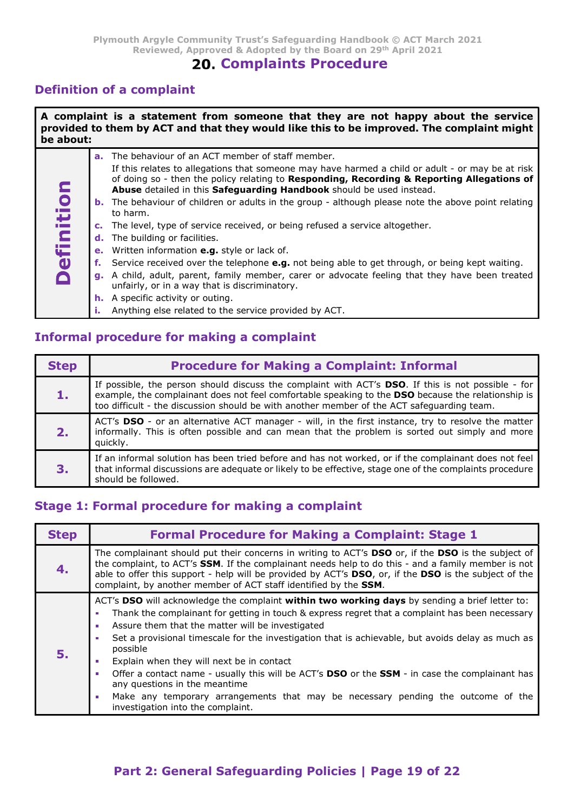## 20. Complaints Procedure

## Definition of a complaint

|                | Plymouth Argyle Community Trust's Safeguarding Handbook © ACT March 2021<br>Reviewed, Approved & Adopted by the Board on 29th April 2021<br><b>20. Complaints Procedure</b>                                                                                                                                                                                                                                                                                                                                                                                                                                                                                                                                                                                                                                                                                                                                                                                                                     |
|----------------|-------------------------------------------------------------------------------------------------------------------------------------------------------------------------------------------------------------------------------------------------------------------------------------------------------------------------------------------------------------------------------------------------------------------------------------------------------------------------------------------------------------------------------------------------------------------------------------------------------------------------------------------------------------------------------------------------------------------------------------------------------------------------------------------------------------------------------------------------------------------------------------------------------------------------------------------------------------------------------------------------|
|                | <b>Definition of a complaint</b>                                                                                                                                                                                                                                                                                                                                                                                                                                                                                                                                                                                                                                                                                                                                                                                                                                                                                                                                                                |
| be about:      | A complaint is a statement from someone that they are not happy about the service<br>provided to them by ACT and that they would like this to be improved. The complaint might                                                                                                                                                                                                                                                                                                                                                                                                                                                                                                                                                                                                                                                                                                                                                                                                                  |
| Ē<br>Definitio | a. The behaviour of an ACT member of staff member.<br>If this relates to allegations that someone may have harmed a child or adult - or may be at risk<br>of doing so - then the policy relating to Responding, Recording & Reporting Allegations of<br>Abuse detailed in this Safeguarding Handbook should be used instead.<br><b>b.</b> The behaviour of children or adults in the group - although please note the above point relating<br>to harm.<br>c. The level, type of service received, or being refused a service altogether.<br>d. The building or facilities.<br>e. Written information e.g. style or lack of.<br>f. Service received over the telephone e.g. not being able to get through, or being kept waiting.<br>g. A child, adult, parent, family member, carer or advocate feeling that they have been treated<br>unfairly, or in a way that is discriminatory.<br><b>h.</b> A specific activity or outing.<br>Anything else related to the service provided by ACT.<br>i. |
|                | <b>Informal procedure for making a complaint</b>                                                                                                                                                                                                                                                                                                                                                                                                                                                                                                                                                                                                                                                                                                                                                                                                                                                                                                                                                |
| <b>Step</b>    | <b>Procedure for Making a Complaint: Informal</b>                                                                                                                                                                                                                                                                                                                                                                                                                                                                                                                                                                                                                                                                                                                                                                                                                                                                                                                                               |
| 1.             | If possible, the person should discuss the complaint with ACT's DSO. If this is not possible - for<br>example, the complainant does not feel comfortable speaking to the DSO because the relationship is<br>too difficult - the discussion should be with another member of the ACT safeguarding team.                                                                                                                                                                                                                                                                                                                                                                                                                                                                                                                                                                                                                                                                                          |
| 2.             | ACT's DSO - or an alternative ACT manager - will, in the first instance, try to resolve the matter<br>informally. This is often possible and can mean that the problem is sorted out simply and more<br>quickly.                                                                                                                                                                                                                                                                                                                                                                                                                                                                                                                                                                                                                                                                                                                                                                                |
| 3.             | If an informal solution has been tried before and has not worked, or if the complainant does not feel<br>that informal discussions are adequate or likely to be effective, stage one of the complaints procedure                                                                                                                                                                                                                                                                                                                                                                                                                                                                                                                                                                                                                                                                                                                                                                                |

## Informal procedure for making a complaint

|             | Anything else related to the service provided by ACT.<br>Ĵμ.                                                                                                                                                                                                                                                                                                                                  |
|-------------|-----------------------------------------------------------------------------------------------------------------------------------------------------------------------------------------------------------------------------------------------------------------------------------------------------------------------------------------------------------------------------------------------|
|             | <b>Informal procedure for making a complaint</b>                                                                                                                                                                                                                                                                                                                                              |
| <b>Step</b> | <b>Procedure for Making a Complaint: Informal</b>                                                                                                                                                                                                                                                                                                                                             |
| 1.          | If possible, the person should discuss the complaint with ACT's DSO. If this is not possible - for<br>example, the complainant does not feel comfortable speaking to the DSO because the relationship is<br>too difficult - the discussion should be with another member of the ACT safequarding team.                                                                                        |
| 2.          | ACT's DSO - or an alternative ACT manager - will, in the first instance, try to resolve the matter<br>informally. This is often possible and can mean that the problem is sorted out simply and more<br>quickly.                                                                                                                                                                              |
| 3.          | If an informal solution has been tried before and has not worked, or if the complainant does not feel<br>that informal discussions are adequate or likely to be effective, stage one of the complaints procedure<br>should be followed.                                                                                                                                                       |
|             | <b>Stage 1: Formal procedure for making a complaint</b>                                                                                                                                                                                                                                                                                                                                       |
| <b>Step</b> | <b>Formal Procedure for Making a Complaint: Stage 1</b>                                                                                                                                                                                                                                                                                                                                       |
| 4.          | The complainant should put their concerns in writing to ACT's DSO or, if the DSO is the subject of<br>the complaint, to ACT's <b>SSM</b> . If the complainant needs help to do this - and a family member is not<br>able to offer this support - help will be provided by ACT's DSO, or, if the DSO is the subject of the<br>complaint, by another member of ACT staff identified by the SSM. |
|             | ACT's DSO will acknowledge the complaint within two working days by sending a brief letter to:<br>Thank the complainant for getting in touch & express regret that a complaint has been necessary<br>т<br>Assure them that the matter will be investigated<br>т<br>Set a provisional timescale for the investigation that is achievable, but avoids delay as much as                          |

#### Stage 1: Formal procedure for making a complaint

| 2.          | ACT's DSO - or an alternative ACT manager - will, in the first instance, try to resolve the matter<br>informally. This is often possible and can mean that the problem is sorted out simply and more<br>quickly.                                                                                                                                                                                                                                                                                                                                                                                                                                                                                                                                               |
|-------------|----------------------------------------------------------------------------------------------------------------------------------------------------------------------------------------------------------------------------------------------------------------------------------------------------------------------------------------------------------------------------------------------------------------------------------------------------------------------------------------------------------------------------------------------------------------------------------------------------------------------------------------------------------------------------------------------------------------------------------------------------------------|
| 3.          | If an informal solution has been tried before and has not worked, or if the complainant does not feel<br>that informal discussions are adequate or likely to be effective, stage one of the complaints procedure<br>should be followed.                                                                                                                                                                                                                                                                                                                                                                                                                                                                                                                        |
|             | <b>Stage 1: Formal procedure for making a complaint</b>                                                                                                                                                                                                                                                                                                                                                                                                                                                                                                                                                                                                                                                                                                        |
| <b>Step</b> | <b>Formal Procedure for Making a Complaint: Stage 1</b>                                                                                                                                                                                                                                                                                                                                                                                                                                                                                                                                                                                                                                                                                                        |
| 4.          | The complainant should put their concerns in writing to ACT's DSO or, if the DSO is the subject of<br>the complaint, to ACT's SSM. If the complainant needs help to do this - and a family member is not<br>able to offer this support - help will be provided by ACT's DSO, or, if the DSO is the subject of the<br>complaint, by another member of ACT staff identified by the SSM.                                                                                                                                                                                                                                                                                                                                                                          |
| 5.          | ACT's DSO will acknowledge the complaint within two working days by sending a brief letter to:<br>Thank the complainant for getting in touch & express regret that a complaint has been necessary<br>$\blacksquare$<br>Assure them that the matter will be investigated<br>$\blacksquare$<br>Set a provisional timescale for the investigation that is achievable, but avoids delay as much as<br>possible<br>Explain when they will next be in contact<br>$\mathcal{L}^{\mathcal{L}}$<br>Offer a contact name - usually this will be ACT's DSO or the SSM - in case the complainant has<br>m,<br>any questions in the meantime<br>Make any temporary arrangements that may be necessary pending the outcome of the<br>m,<br>investigation into the complaint. |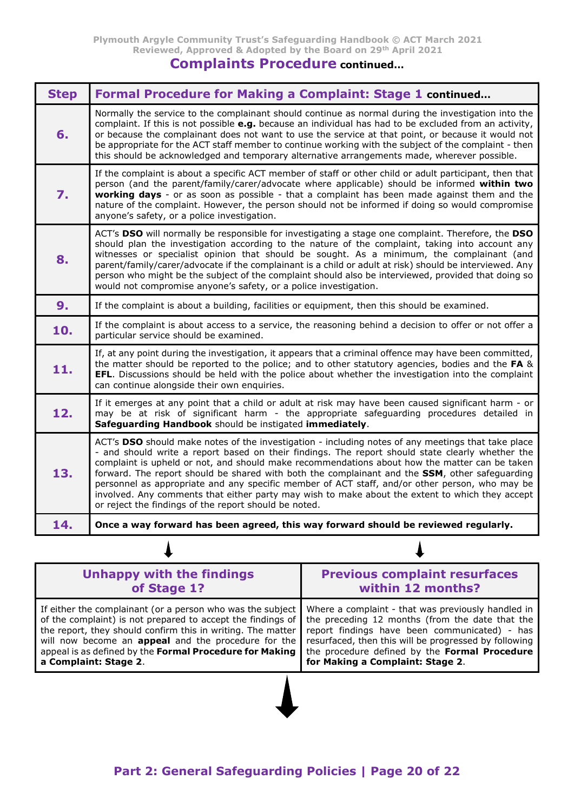Plymouth Argyle Community Trust's Safeguarding Handbook © ACT March 2021 Reviewed, Approved & Adopted by the Board on 29th April 2021

## Complaints Procedure continued…

| Normally the service to the complainant should continue as normal during the investigation into the<br>complaint. If this is not possible e.g. because an individual has had to be excluded from an activity,<br>6.<br>or because the complainant does not want to use the service at that point, or because it would not<br>be appropriate for the ACT staff member to continue working with the subject of the complaint - then<br>this should be acknowledged and temporary alternative arrangements made, wherever possible.<br>If the complaint is about a specific ACT member of staff or other child or adult participant, then that<br>person (and the parent/family/carer/advocate where applicable) should be informed within two<br>7.<br>working days - or as soon as possible - that a complaint has been made against them and the<br>nature of the complaint. However, the person should not be informed if doing so would compromise<br>anyone's safety, or a police investigation.<br>ACT's DSO will normally be responsible for investigating a stage one complaint. Therefore, the DSO<br>should plan the investigation according to the nature of the complaint, taking into account any<br>witnesses or specialist opinion that should be sought. As a minimum, the complainant (and<br>8.<br>parent/family/carer/advocate if the complainant is a child or adult at risk) should be interviewed. Any<br>person who might be the subject of the complaint should also be interviewed, provided that doing so<br>would not compromise anyone's safety, or a police investigation.<br>9 <sub>1</sub><br>If the complaint is about a building, facilities or equipment, then this should be examined.<br>If the complaint is about access to a service, the reasoning behind a decision to offer or not offer a<br>10.<br>particular service should be examined.<br>If, at any point during the investigation, it appears that a criminal offence may have been committed,<br>the matter should be reported to the police; and to other statutory agencies, bodies and the FA &<br>11.<br>EFL. Discussions should be held with the police about whether the investigation into the complaint<br>can continue alongside their own enquiries.<br>If it emerges at any point that a child or adult at risk may have been caused significant harm - or<br>12.<br>may be at risk of significant harm - the appropriate safeguarding procedures detailed in<br>Safeguarding Handbook should be instigated immediately.<br>ACT's DSO should make notes of the investigation - including notes of any meetings that take place<br>- and should write a report based on their findings. The report should state clearly whether the<br>complaint is upheld or not, and should make recommendations about how the matter can be taken<br>13.<br>forward. The report should be shared with both the complainant and the SSM, other safeguarding<br>personnel as appropriate and any specific member of ACT staff, and/or other person, who may be<br>involved. Any comments that either party may wish to make about the extent to which they accept<br>or reject the findings of the report should be noted.<br>14.<br>Once a way forward has been agreed, this way forward should be reviewed regularly. | <b>Step</b> | Formal Procedure for Making a Complaint: Stage 1 continued |
|-------------------------------------------------------------------------------------------------------------------------------------------------------------------------------------------------------------------------------------------------------------------------------------------------------------------------------------------------------------------------------------------------------------------------------------------------------------------------------------------------------------------------------------------------------------------------------------------------------------------------------------------------------------------------------------------------------------------------------------------------------------------------------------------------------------------------------------------------------------------------------------------------------------------------------------------------------------------------------------------------------------------------------------------------------------------------------------------------------------------------------------------------------------------------------------------------------------------------------------------------------------------------------------------------------------------------------------------------------------------------------------------------------------------------------------------------------------------------------------------------------------------------------------------------------------------------------------------------------------------------------------------------------------------------------------------------------------------------------------------------------------------------------------------------------------------------------------------------------------------------------------------------------------------------------------------------------------------------------------------------------------------------------------------------------------------------------------------------------------------------------------------------------------------------------------------------------------------------------------------------------------------------------------------------------------------------------------------------------------------------------------------------------------------------------------------------------------------------------------------------------------------------------------------------------------------------------------------------------------------------------------------------------------------------------------------------------------------------------------------------------------------------------------------------------------------------------------------------------------------------------------------------------------------------------------------------------------------------------------------------------------------------------------------------------------------------------------------------------------------------------------------------------------------------------------------------------------------------------------------------------------------------------------------------------------------|-------------|------------------------------------------------------------|
|                                                                                                                                                                                                                                                                                                                                                                                                                                                                                                                                                                                                                                                                                                                                                                                                                                                                                                                                                                                                                                                                                                                                                                                                                                                                                                                                                                                                                                                                                                                                                                                                                                                                                                                                                                                                                                                                                                                                                                                                                                                                                                                                                                                                                                                                                                                                                                                                                                                                                                                                                                                                                                                                                                                                                                                                                                                                                                                                                                                                                                                                                                                                                                                                                                                                                                                   |             |                                                            |
|                                                                                                                                                                                                                                                                                                                                                                                                                                                                                                                                                                                                                                                                                                                                                                                                                                                                                                                                                                                                                                                                                                                                                                                                                                                                                                                                                                                                                                                                                                                                                                                                                                                                                                                                                                                                                                                                                                                                                                                                                                                                                                                                                                                                                                                                                                                                                                                                                                                                                                                                                                                                                                                                                                                                                                                                                                                                                                                                                                                                                                                                                                                                                                                                                                                                                                                   |             |                                                            |
|                                                                                                                                                                                                                                                                                                                                                                                                                                                                                                                                                                                                                                                                                                                                                                                                                                                                                                                                                                                                                                                                                                                                                                                                                                                                                                                                                                                                                                                                                                                                                                                                                                                                                                                                                                                                                                                                                                                                                                                                                                                                                                                                                                                                                                                                                                                                                                                                                                                                                                                                                                                                                                                                                                                                                                                                                                                                                                                                                                                                                                                                                                                                                                                                                                                                                                                   |             |                                                            |
|                                                                                                                                                                                                                                                                                                                                                                                                                                                                                                                                                                                                                                                                                                                                                                                                                                                                                                                                                                                                                                                                                                                                                                                                                                                                                                                                                                                                                                                                                                                                                                                                                                                                                                                                                                                                                                                                                                                                                                                                                                                                                                                                                                                                                                                                                                                                                                                                                                                                                                                                                                                                                                                                                                                                                                                                                                                                                                                                                                                                                                                                                                                                                                                                                                                                                                                   |             |                                                            |
|                                                                                                                                                                                                                                                                                                                                                                                                                                                                                                                                                                                                                                                                                                                                                                                                                                                                                                                                                                                                                                                                                                                                                                                                                                                                                                                                                                                                                                                                                                                                                                                                                                                                                                                                                                                                                                                                                                                                                                                                                                                                                                                                                                                                                                                                                                                                                                                                                                                                                                                                                                                                                                                                                                                                                                                                                                                                                                                                                                                                                                                                                                                                                                                                                                                                                                                   |             |                                                            |
|                                                                                                                                                                                                                                                                                                                                                                                                                                                                                                                                                                                                                                                                                                                                                                                                                                                                                                                                                                                                                                                                                                                                                                                                                                                                                                                                                                                                                                                                                                                                                                                                                                                                                                                                                                                                                                                                                                                                                                                                                                                                                                                                                                                                                                                                                                                                                                                                                                                                                                                                                                                                                                                                                                                                                                                                                                                                                                                                                                                                                                                                                                                                                                                                                                                                                                                   |             |                                                            |
|                                                                                                                                                                                                                                                                                                                                                                                                                                                                                                                                                                                                                                                                                                                                                                                                                                                                                                                                                                                                                                                                                                                                                                                                                                                                                                                                                                                                                                                                                                                                                                                                                                                                                                                                                                                                                                                                                                                                                                                                                                                                                                                                                                                                                                                                                                                                                                                                                                                                                                                                                                                                                                                                                                                                                                                                                                                                                                                                                                                                                                                                                                                                                                                                                                                                                                                   |             |                                                            |
|                                                                                                                                                                                                                                                                                                                                                                                                                                                                                                                                                                                                                                                                                                                                                                                                                                                                                                                                                                                                                                                                                                                                                                                                                                                                                                                                                                                                                                                                                                                                                                                                                                                                                                                                                                                                                                                                                                                                                                                                                                                                                                                                                                                                                                                                                                                                                                                                                                                                                                                                                                                                                                                                                                                                                                                                                                                                                                                                                                                                                                                                                                                                                                                                                                                                                                                   |             |                                                            |
|                                                                                                                                                                                                                                                                                                                                                                                                                                                                                                                                                                                                                                                                                                                                                                                                                                                                                                                                                                                                                                                                                                                                                                                                                                                                                                                                                                                                                                                                                                                                                                                                                                                                                                                                                                                                                                                                                                                                                                                                                                                                                                                                                                                                                                                                                                                                                                                                                                                                                                                                                                                                                                                                                                                                                                                                                                                                                                                                                                                                                                                                                                                                                                                                                                                                                                                   |             |                                                            |

| <b>Unhappy with the findings</b>                                                                                                                                                                                                                                                                                                                                                           | <b>Previous complaint resurfaces</b>                                                                                                                                                                                                              |
|--------------------------------------------------------------------------------------------------------------------------------------------------------------------------------------------------------------------------------------------------------------------------------------------------------------------------------------------------------------------------------------------|---------------------------------------------------------------------------------------------------------------------------------------------------------------------------------------------------------------------------------------------------|
| of Stage 1?                                                                                                                                                                                                                                                                                                                                                                                | within 12 months?                                                                                                                                                                                                                                 |
| If either the complainant (or a person who was the subject<br>of the complaint) is not prepared to accept the findings of the preceding 12 months (from the date that the<br>the report, they should confirm this in writing. The matter<br>will now become an <b>appeal</b> and the procedure for the<br>appeal is as defined by the Formal Procedure for Making<br>a Complaint: Stage 2. | Where a complaint - that was previously handled in<br>report findings have been communicated) - has<br>resurfaced, then this will be progressed by following<br>the procedure defined by the Formal Procedure<br>for Making a Complaint: Stage 2. |

 $\blacklozenge$ 

 $\boldsymbol{\Lambda}$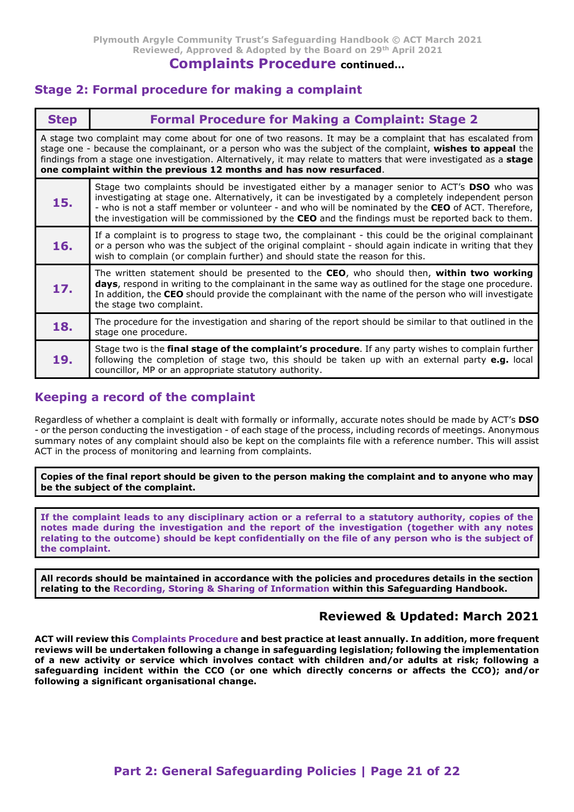#### Complaints Procedure continued…

#### Stage 2: Formal procedure for making a complaint

|             | Plymouth Argyle Community Trust's Safeguarding Handbook © ACT March 2021<br>Reviewed, Approved & Adopted by the Board on 29th April 2021<br><b>Complaints Procedure continued</b><br><b>Stage 2: Formal procedure for making a complaint</b>                                                                                                                                                                           |
|-------------|------------------------------------------------------------------------------------------------------------------------------------------------------------------------------------------------------------------------------------------------------------------------------------------------------------------------------------------------------------------------------------------------------------------------|
| <b>Step</b> | <b>Formal Procedure for Making a Complaint: Stage 2</b>                                                                                                                                                                                                                                                                                                                                                                |
|             | A stage two complaint may come about for one of two reasons. It may be a complaint that has escalated from<br>stage one - because the complainant, or a person who was the subject of the complaint, wishes to appeal the<br>findings from a stage one investigation. Alternatively, it may relate to matters that were investigated as a stage<br>one complaint within the previous 12 months and has now resurfaced. |
| 15.         | Stage two complaints should be investigated either by a manager senior to ACT's DSO who was<br>investigating at stage one. Alternatively, it can be investigated by a completely independent person<br>- who is not a staff member or volunteer - and who will be nominated by the CEO of ACT. Therefore,<br>the investigation will be commissioned by the CEO and the findings must be reported back to them.         |
| 16.         | If a complaint is to progress to stage two, the complainant - this could be the original complainant<br>or a person who was the subject of the original complaint - should again indicate in writing that they<br>wish to complain (or complain further) and should state the reason for this.                                                                                                                         |
| 17.         | The written statement should be presented to the CEO, who should then, within two working<br>days, respond in writing to the complainant in the same way as outlined for the stage one procedure.<br>In addition, the CEO should provide the complainant with the name of the person who will investigate<br>the stage two complaint.                                                                                  |
| 18.         | The procedure for the investigation and sharing of the report should be similar to that outlined in the<br>stage one procedure.                                                                                                                                                                                                                                                                                        |
| 19.         | Stage two is the final stage of the complaint's procedure. If any party wishes to complain further<br>following the completion of stage two, this should be taken up with an external party $e.g.$ local<br>councillor, MP or an appropriate statutory authority.                                                                                                                                                      |

## Keeping a record of the complaint

Regardless of whether a complaint is dealt with formally or informally, accurate notes should be made by ACT's DSO - or the person conducting the investigation - of each stage of the process, including records of meetings. Anonymous summary notes of any complaint should also be kept on the complaints file with a reference number. This will assist ACT in the process of monitoring and learning from complaints.

Copies of the final report should be given to the person making the complaint and to anyone who may be the subject of the complaint.

If the complaint leads to any disciplinary action or a referral to a statutory authority, copies of the notes made during the investigation and the report of the investigation (together with any notes relating to the outcome) should be kept confidentially on the file of any person who is the subject of the complaint.

All records should be maintained in accordance with the policies and procedures details in the section relating to the Recording, Storing & Sharing of Information within this Safeguarding Handbook.

#### Reviewed & Updated: March 2021

ACT will review this Complaints Procedure and best practice at least annually. In addition, more frequent reviews will be undertaken following a change in safeguarding legislation; following the implementation of a new activity or service which involves contact with children and/or adults at risk; following a safeguarding incident within the CCO (or one which directly concerns or affects the CCO); and/or following a significant organisational change.